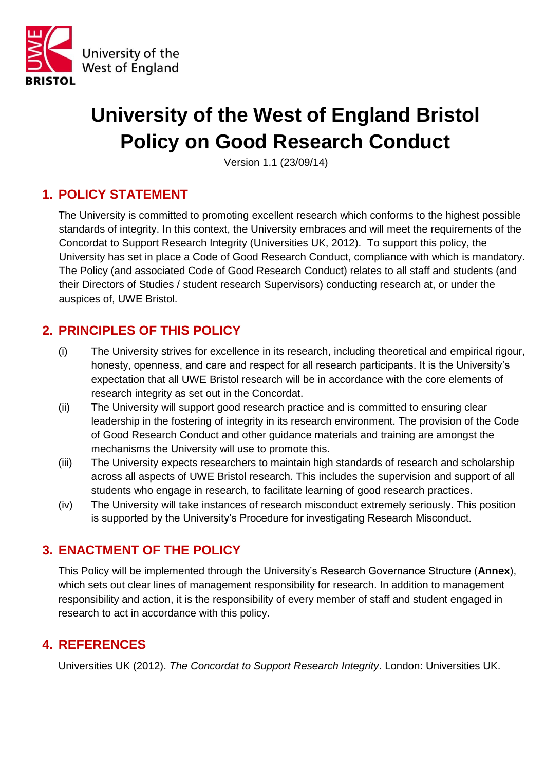

# **University of the West of England Bristol Policy on Good Research Conduct**

Version 1.1 (23/09/14)

## **1. POLICY STATEMENT**

The University is committed to promoting excellent research which conforms to the highest possible standards of integrity. In this context, the University embraces and will meet the requirements of the Concordat to Support Research Integrity (Universities UK, 2012). To support this policy, the University has set in place a Code of Good Research Conduct, compliance with which is mandatory. The Policy (and associated Code of Good Research Conduct) relates to all staff and students (and their Directors of Studies / student research Supervisors) conducting research at, or under the auspices of, UWE Bristol.

## **2. PRINCIPLES OF THIS POLICY**

- (i) The University strives for excellence in its research, including theoretical and empirical rigour, honesty, openness, and care and respect for all research participants. It is the University's expectation that all UWE Bristol research will be in accordance with the core elements of research integrity as set out in the Concordat.
- (ii) The University will support good research practice and is committed to ensuring clear leadership in the fostering of integrity in its research environment. The provision of the Code of Good Research Conduct and other guidance materials and training are amongst the mechanisms the University will use to promote this.
- (iii) The University expects researchers to maintain high standards of research and scholarship across all aspects of UWE Bristol research. This includes the supervision and support of all students who engage in research, to facilitate learning of good research practices.
- (iv) The University will take instances of research misconduct extremely seriously. This position is supported by the University's Procedure for investigating Research Misconduct.

### **3. ENACTMENT OF THE POLICY**

This Policy will be implemented through the University's Research Governance Structure (**Annex**), which sets out clear lines of management responsibility for research. In addition to management responsibility and action, it is the responsibility of every member of staff and student engaged in research to act in accordance with this policy.

### **4. REFERENCES**

Universities UK (2012). *The Concordat to Support Research Integrity*. London: Universities UK.